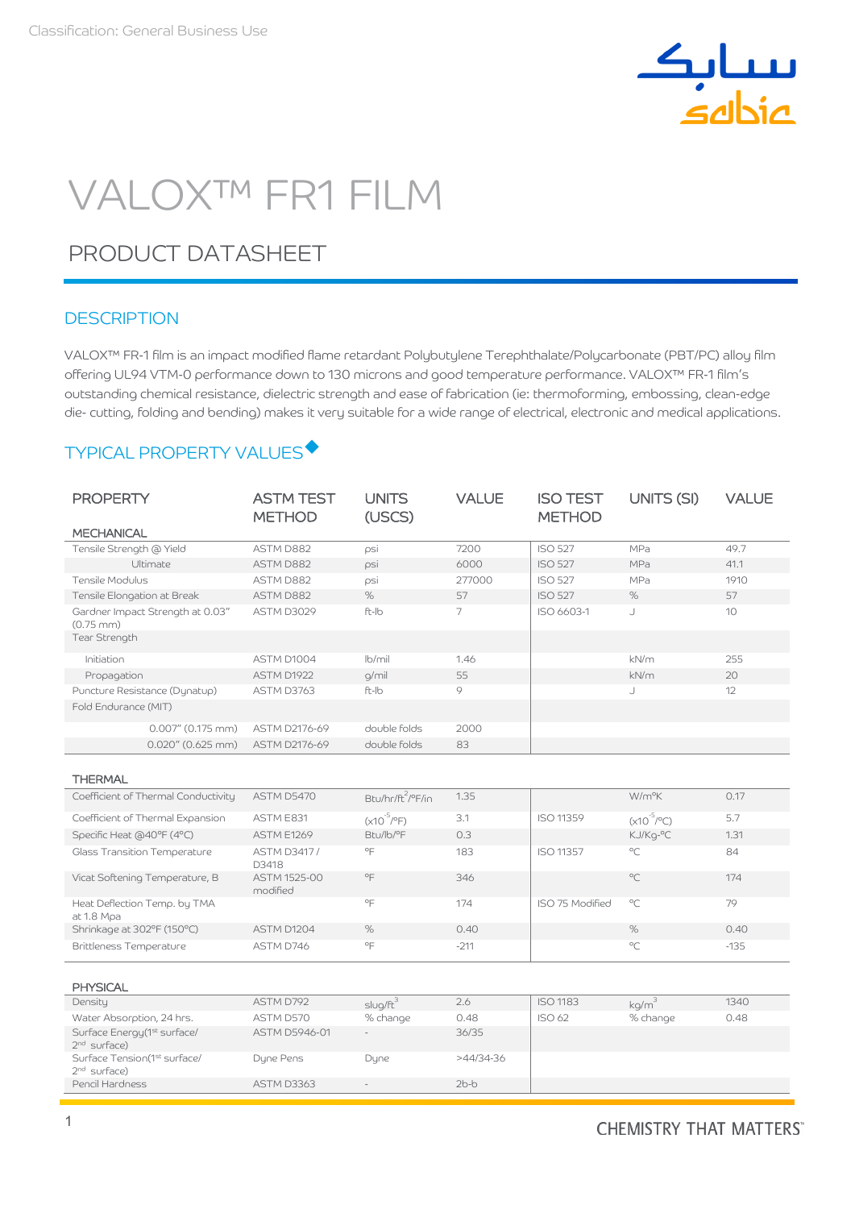

# VALOX™ FR1 FILM

## PRODUCT DATASHEET

#### **DESCRIPTION**

VALOX™ FR-1 film is an impact modified flame retardant Polybutylene Terephthalate/Polycarbonate (PBT/PC) alloy film offering UL94 VTM-0 performance down to 130 microns and good temperature performance. VALOX™ FR-1 film's outstanding chemical resistance, dielectric strength and ease of fabrication (ie: thermoforming, embossing, clean-edge die- cutting, folding and bending) makes it very suitable for a wide range of electrical, electronic and medical applications.

## TYPICAL PROPERTY VALUES

| <b>PROPERTY</b>                                           | <b>ASTM TEST</b><br><b>METHOD</b> | <b>UNITS</b><br>(USCS)        | <b>VALUE</b> | <b>ISO TEST</b><br><b>METHOD</b> | UNITS (SI)             | <b>VALUE</b>    |
|-----------------------------------------------------------|-----------------------------------|-------------------------------|--------------|----------------------------------|------------------------|-----------------|
| <b>MECHANICAL</b>                                         |                                   |                               |              |                                  |                        |                 |
| Tensile Strength @ Yield                                  | ASTM D882                         | psi                           | 7200         | <b>ISO 527</b>                   | MPa                    | 49.7            |
| Ultimate                                                  | ASTM D882                         | psi                           | 6000         | <b>ISO 527</b>                   | MPa                    | 41.1            |
| Tensile Modulus                                           | ASTM D882                         | psi                           | 277000       | <b>ISO 527</b>                   | MPa                    | 1910            |
| Tensile Elongation at Break                               | ASTM D882                         | %                             | 57           | <b>ISO 527</b>                   | %                      | 57              |
| Gardner Impact Strength at 0.03"<br>$(0.75 \, \text{mm})$ | ASTM D3029                        | ft-Ib                         | 7            | ISO 6603-1                       | J                      | 10 <sup>1</sup> |
| Tear Strength                                             |                                   |                               |              |                                  |                        |                 |
| Initiation                                                | ASTM D1004                        | $lb$ mil                      | 1.46         |                                  | kN/m                   | 255             |
| Propagation                                               | ASTM D1922                        | g/mil                         | 55           |                                  | kN/m                   | 20              |
| Puncture Resistance (Dynatup)                             | ASTM D3763                        | ft-Ib                         | 9            |                                  | J                      | 12              |
| Fold Endurance (MIT)                                      |                                   |                               |              |                                  |                        |                 |
| $0.007''$ (0.175 mm)                                      | ASTM D2176-69                     | double folds                  | 2000         |                                  |                        |                 |
| $0.020''$ (0.625 mm)                                      | ASTM D2176-69                     | double folds                  | 83           |                                  |                        |                 |
| <b>THERMAL</b>                                            |                                   |                               |              |                                  |                        |                 |
| Coefficient of Thermal Conductivity                       | ASTM D5470                        | Btu/hr/ft <sup>2</sup> /°F/in | 1.35         |                                  | W/m <sup>o</sup> K     | 0.17            |
| Coefficient of Thermal Expansion                          | ASTM E831                         | $(x10^{-5}/^{\circ}F)$        | 3.1          | <b>ISO 11359</b>                 | $(x10^{-5}/^{\circ}C)$ | 5.7             |
| Specific Heat (a40°F (4°C)                                | <b>ASTM E1269</b>                 | Btu/lb/°F                     | 0.3          |                                  | KJ/Kq-°C               | 1.31            |
| Glass Transition Temperature                              | <b>ASTM D3417/</b><br>D3418       | $^{\circ}$ F                  | 183          | <b>ISO 11357</b>                 | $^{\circ}C$            | 84              |
| Vicat Softening Temperature, B                            | <b>ASTM 1525-00</b><br>modified   | $^{\circ}$ F                  | 346          |                                  | $^{\circ}C$            | 174             |
| Heat Deflection Temp. by TMA<br>at 1.8 Mpa                |                                   | $^{\circ}$ F                  | 174          | ISO 75 Modified                  | $^{\circ}C$            | 79              |
| Shrinkage at 302°F (150°C)                                | ASTM D1204                        | $\%$                          | 0.40         |                                  | %                      | 0.40            |

| <b>PHYSICAL</b>                                            |               |             |             |                 |          |      |
|------------------------------------------------------------|---------------|-------------|-------------|-----------------|----------|------|
| Density                                                    | ASTM D792     | $sluq/ft^3$ | 2.6         | <b>ISO 1183</b> | kg/m     | 1340 |
| Water Absorption, 24 hrs.                                  | ASTM D570     | % change    | 0.48        | <b>ISO 62</b>   | % change | 0.48 |
| Surface Energy (1st surface/<br>$2nd$ surface)             | ASTM D5946-01 | $\sim$      | 36/35       |                 |          |      |
| Surface Tension(1 <sup>st</sup> surface/<br>$2nd$ surface) | Dyne Pens     | Dyne        | $>44/34-36$ |                 |          |      |
| Pencil Hardness                                            | ASTM D3363    |             | $2b-b$      |                 |          |      |

Brittleness Temperature  $\overline{AB}$  ASTM D746  $\overline{CP}$  -211 -211  $\overline{PC}$  -213 -135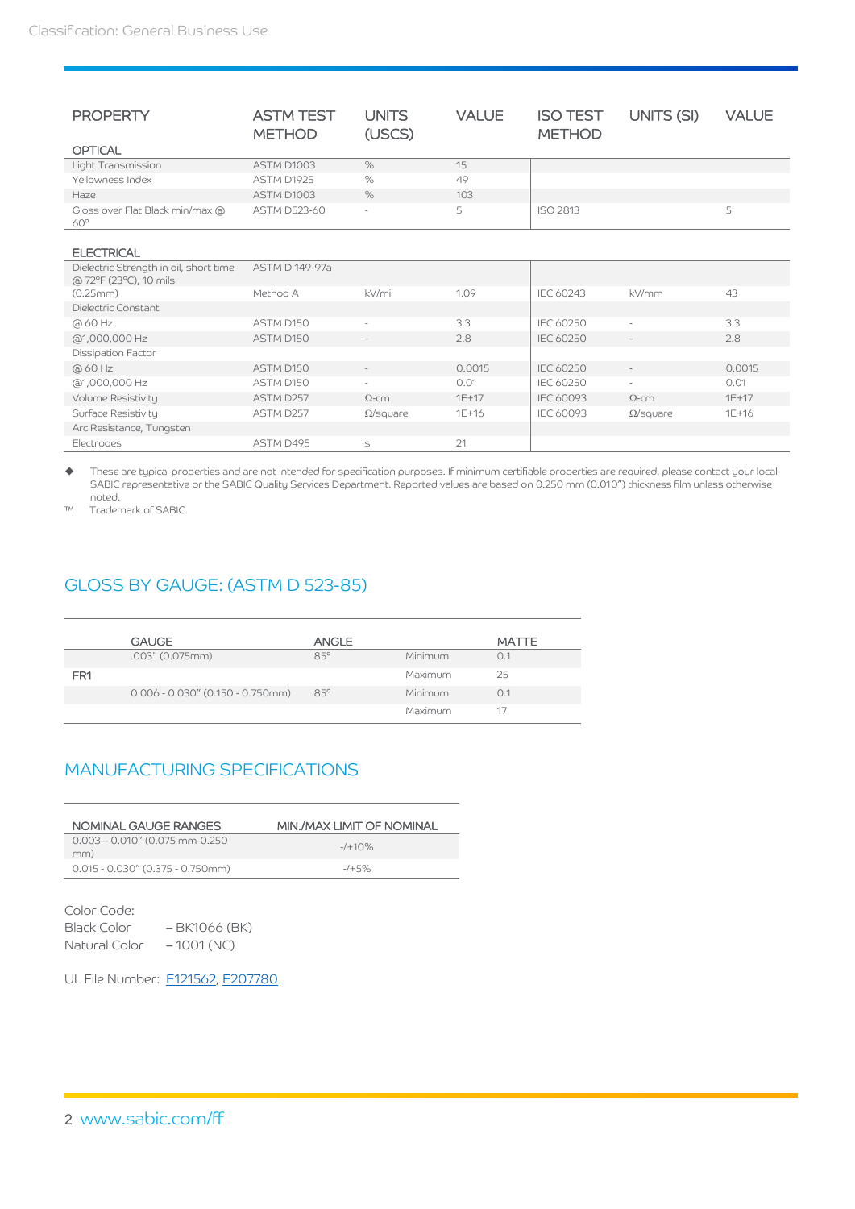| <b>PROPERTY</b>                                                  | <b>ASTM TEST</b><br><b>METHOD</b> | <b>UNITS</b><br>(USCS)   | <b>VALUE</b> | <b>ISO TEST</b><br><b>METHOD</b> | UNITS (SI)               | <b>VALUE</b> |
|------------------------------------------------------------------|-----------------------------------|--------------------------|--------------|----------------------------------|--------------------------|--------------|
| <b>OPTICAL</b>                                                   |                                   |                          |              |                                  |                          |              |
| Light Transmission                                               | ASTM D1003                        | $\%$                     | 15           |                                  |                          |              |
| Yellowness Index                                                 | ASTM D1925                        | $\%$                     | 49           |                                  |                          |              |
| Haze                                                             | ASTM D1003                        | $\%$                     | 103          |                                  |                          |              |
| Gloss over Flat Black min/max @<br>$60^\circ$                    | <b>ASTM D523-60</b>               | $\overline{\phantom{a}}$ | 5            | <b>ISO 2813</b>                  |                          | 5            |
| <b>ELECTRICAL</b>                                                |                                   |                          |              |                                  |                          |              |
| Dielectric Strength in oil, short time<br>@ 72°F (23°C), 10 mils | ASTM D 149-97a                    |                          |              |                                  |                          |              |
| (0.25mm)                                                         | Method A                          | kV/mil                   | 1.09         | <b>IEC 60243</b>                 | kV/mm                    | 43           |
| Dielectric Constant                                              |                                   |                          |              |                                  |                          |              |
| @ 60 Hz                                                          | ASTM D150                         | ÷                        | 3.3          | IEC 60250                        | $\sim$                   | 3.3          |
| @1,000,000 Hz                                                    | ASTM D150                         | $\sim$                   | 2.8          | <b>IEC 60250</b>                 | $\sim$                   | 2.8          |
| Dissipation Factor                                               |                                   |                          |              |                                  |                          |              |
| @ 60 Hz                                                          | ASTM D150                         |                          | 0.0015       | <b>IEC 60250</b>                 | $\sim$                   | 0.0015       |
| @1,000,000 Hz                                                    | ASTM D150                         | $\sim$                   | 0.01         | <b>IEC 60250</b>                 | $\overline{\phantom{a}}$ | 0.01         |
| Volume Resistivity                                               | ASTM D257                         | $\Omega$ -cm             | $1E + 17$    | IEC 60093                        | $\Omega$ -cm             | $1E + 17$    |
| Surface Resistivity                                              | ASTM D257                         | $\Omega$ /square         | $1E + 16$    | <b>IEC 60093</b>                 | $\Omega$ /square         | $1E+16$      |
| Arc Resistance, Tungsten                                         |                                   |                          |              |                                  |                          |              |
| Electrodes                                                       | ASTM D495                         | S                        | 21           |                                  |                          |              |

 These are typical properties and are not intended for specification purposes. If minimum certifiable properties are required, please contact your local SABIC representative or the SABIC Quality Services Department. Reported values are based on 0.250 mm (0.010") thickness film unless otherwise noted.

™ Trademark of SABIC.

## GLOSS BY GAUGE: (ASTM D 523-85)

|                 | <b>GAUGE</b>                        | <b>ANGLE</b> |         | <b>MATTE</b> |
|-----------------|-------------------------------------|--------------|---------|--------------|
|                 | $.003$ " (0.075mm)                  | $85^\circ$   | Minimum | 0.1          |
| FR <sub>1</sub> |                                     |              | Maximum | 25           |
|                 | $0.006 - 0.030''$ (0.150 - 0.750mm) | $85^\circ$   | Minimum | 0.1          |
|                 |                                     |              | Maximum | 17           |

### MANUFACTURING SPECIFICATIONS

| NOMINAL GAUGE RANGES                     | MIN./MAX LIMIT OF NOMINAL |
|------------------------------------------|---------------------------|
| $0.003 - 0.010''$ (0.075 mm-0.250<br>mm) | $-1+10%$                  |
| $0.015 - 0.030'' (0.375 - 0.750$ mm      | $-7+5%$                   |

Color Code: Black Color – BK1066 (BK) Natural Color – 1001 (NC)

UL File Number: [E121562,](https://materials.ulprospector.com/en/datasheet/e?&E=167379) [E207780](https://materials.ulprospector.com/en/datasheet/e?&E=174584)